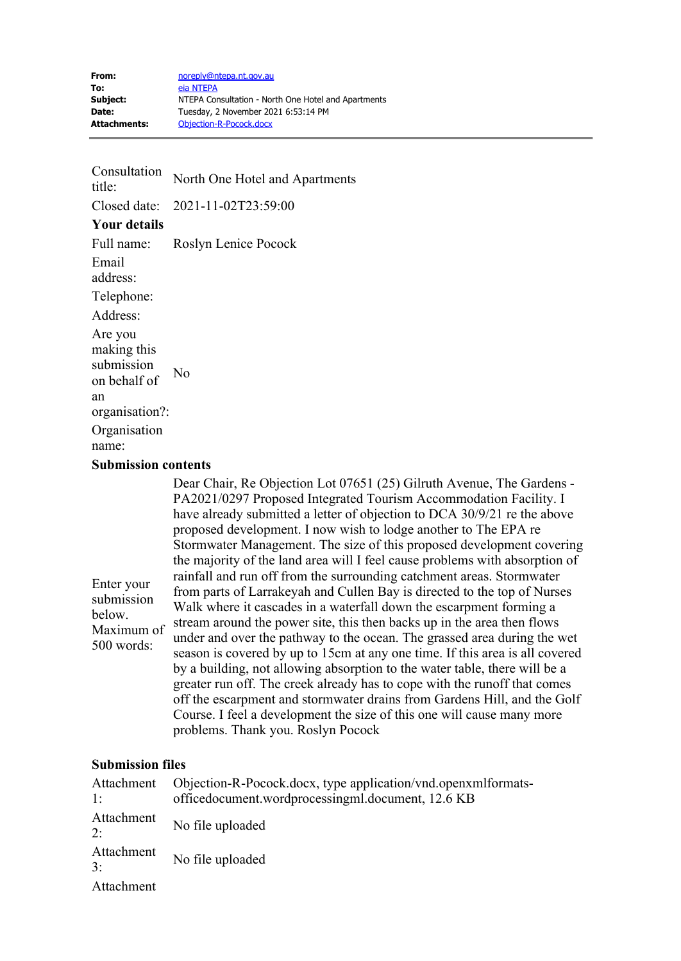Consultation<br>title: North One Hotel and Apartments Closed date: 2021-11-02T23:59:00 **Your details** Full name: Roslyn Lenice Pocock Email address: Telephone: Address: Are you making this submission on behalf of an organisation?: No Organisation name: **Submission contents**

| Enter your<br>submission<br>below.<br>Maximum of<br>500 words: | Dear Chair, Re Objection Lot 07651 (25) Gilruth Avenue, The Gardens -        |
|----------------------------------------------------------------|------------------------------------------------------------------------------|
|                                                                | PA2021/0297 Proposed Integrated Tourism Accommodation Facility. I            |
|                                                                | have already submitted a letter of objection to DCA 30/9/21 re the above     |
|                                                                | proposed development. I now wish to lodge another to The EPA re              |
|                                                                | Stormwater Management. The size of this proposed development covering        |
|                                                                | the majority of the land area will I feel cause problems with absorption of  |
|                                                                | rainfall and run off from the surrounding catchment areas. Stormwater        |
|                                                                | from parts of Larrakeyah and Cullen Bay is directed to the top of Nurses     |
|                                                                | Walk where it cascades in a waterfall down the escarpment forming a          |
|                                                                | stream around the power site, this then backs up in the area then flows      |
|                                                                | under and over the pathway to the ocean. The grassed area during the wet     |
|                                                                | season is covered by up to 15cm at any one time. If this area is all covered |
|                                                                | by a building, not allowing absorption to the water table, there will be a   |
|                                                                | greater run off. The creek already has to cope with the runoff that comes    |
|                                                                | off the escarpment and stormwater drains from Gardens Hill, and the Golf     |
|                                                                | Course. I feel a development the size of this one will cause many more       |
|                                                                | problems. Thank you. Roslyn Pocock                                           |

## **Submission files**

| Attachment<br>1: | Objection-R-Pocock.docx, type application/vnd.openxmlformats-<br>officedocument.wordprocessingml.document, 12.6 KB |
|------------------|--------------------------------------------------------------------------------------------------------------------|
| Attachment<br>2: | No file uploaded                                                                                                   |
| Attachment<br>3: | No file uploaded                                                                                                   |
| Attachment       |                                                                                                                    |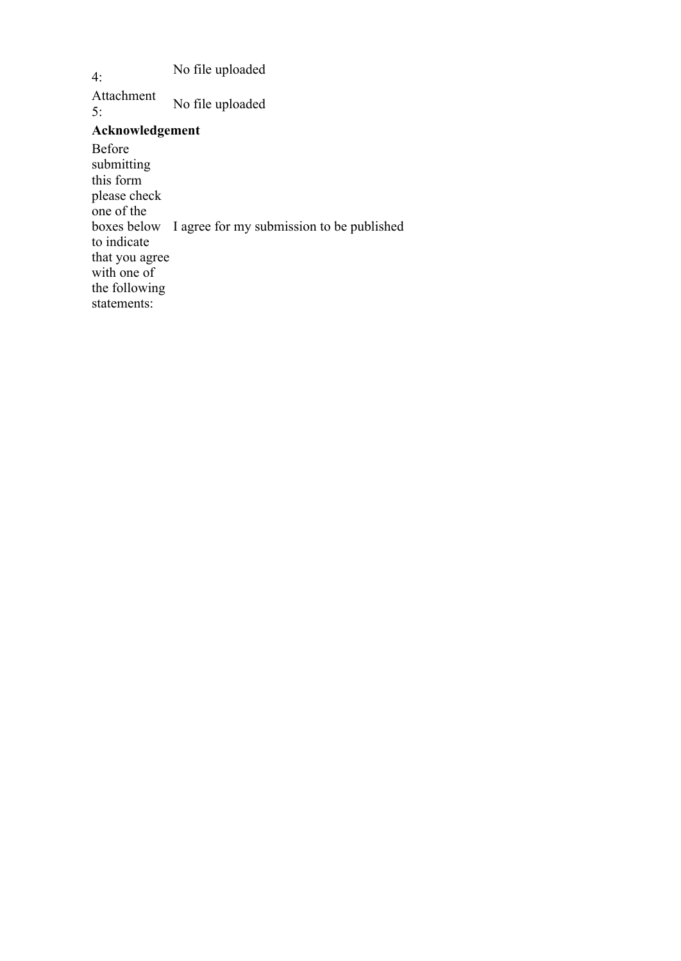4: No file uploaded

Attachment<br>5: No file uploaded

## **Acknowledgement**

Before submitting this form please check one of the boxes below I agree for my submission to be publishedto indicate that you agree with one of the following statements: